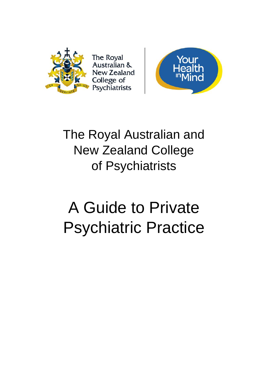

**The Royal** Australian & **New Zealand** College of Psychiatrists



# The Royal Australian and New Zealand College of Psychiatrists

# A Guide to Private Psychiatric Practice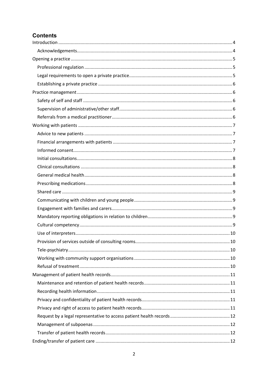# **Contents**

| 10 |  |
|----|--|
|    |  |
|    |  |
|    |  |
|    |  |
|    |  |
|    |  |
|    |  |
|    |  |
|    |  |
|    |  |
|    |  |
|    |  |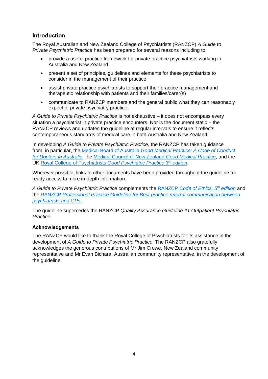# <span id="page-3-0"></span>**Introduction**

The Royal Australian and New Zealand College of Psychiatrists (RANZCP) *A Guide to Private Psychiatric Practice* has been prepared for several reasons including to:

- provide a useful practice framework for private practice psychiatrists working in Australia and New Zealand
- present a set of principles, guidelines and elements for these psychiatrists to consider in the management of their practice
- assist private practice psychiatrists to support their practice management and therapeutic relationship with patients and their families/carer(s)
- communicate to RANZCP members and the general public what they can reasonably expect of private psychiatry practice.

*A Guide to Private Psychiatric Practice* is not exhaustive – it does not encompass every situation a psychiatrist in private practice encounters. Nor is the document static – the RANZCP reviews and updates the guideline at regular intervals to ensure it reflects contemporaneous standards of medical care in both Australia and New Zealand.

In developing *A Guide to Private Psychiatric Practice,* the RANZCP has taken guidance from, in particular, the [Medical Board of Australia](http://www.medicalboard.gov.au/Codes-Guidelines-Policies/Code-of-conduct.aspx) *Good Medical Practice*: *A Code of Conduct [for Doctors in Australia,](http://www.medicalboard.gov.au/Codes-Guidelines-Policies/Code-of-conduct.aspx)* the Medical [Council of New Zealand](https://www.mcnz.org.nz/news-and-publications/good-medical-practice/) *Good Medical Practice*, and the UK [Royal College of Psychiatrists](http://www.rcpsych.ac.uk/usefulresources/publications/collegereports/cr/cr154.aspx) *Good Psychiatric Practice 3rd edition*.

Wherever possible, links to other documents have been provided throughout the guideline for ready access to more in-depth information.

*A Guide to Private Psychiatric Practice* complements the RANZCP *[Code of Ethics,](https://www.ranzcp.org/Publications/Guidelines-and-resources-for-practice.aspx) 5 th edition* and the RANZCP *[Professional Practice Guideline for Best practice referral communication between](https://www.ranzcp.org/Files/Resources/College_Statements/Practice_Guidelines/PS-Best-Practice-Referral-Communication-between-ps.aspx)  [psychiatrists and GPs.](https://www.ranzcp.org/Files/Resources/College_Statements/Practice_Guidelines/PS-Best-Practice-Referral-Communication-between-ps.aspx)*

The guideline supercedes the RANZCP *Quality Assurance Guideline #1 Outpatient Psychiatric Practice.*

#### <span id="page-3-1"></span>**Acknowledgements**

The RANZCP would like to thank the Royal College of Psychiatrists for its assistance in the development of *A Guide to Private Psychiatric Practice*. The RANZCP also gratefully acknowledges the generous contributions of Mr Jim Crowe, New Zealand community representative and Mr Evan Bichara, Australian community representative, in the development of the quideline.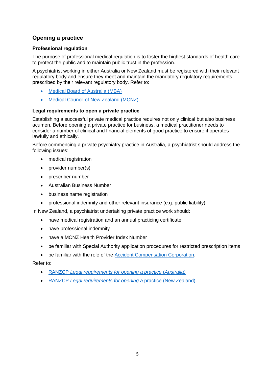# <span id="page-4-0"></span>**Opening a practice**

# <span id="page-4-1"></span>**Professional regulation**

The purpose of professional medical regulation is to foster the highest standards of health care to protect the public and to maintain public trust in the profession.

A psychiatrist working in either Australia or New Zealand must be registered with their relevant regulatory body and ensure they meet and maintain the mandatory regulatory requirements prescribed by their relevant regulatory body. Refer to:

- [Medical Board of Australia \(MBA\)](http://www.medicalboard.gov.au/)
- [Medical Council of New Zealand \(MCNZ\).](https://www.mcnz.org.nz/)

#### <span id="page-4-2"></span>**Legal requirements to open a private practice**

Establishing a successful private medical practice requires not only clinical but also business acumen. Before opening a private practice for business, a medical practitioner needs to consider a number of clinical and financial elements of good practice to ensure it operates lawfully and ethically.

Before commencing a private psychiatry practice in Australia, a psychiatrist should address the following issues:

- medical registration
- provider number(s)
- prescriber number
- Australian Business Number
- business name registration
- professional indemnity and other relevant insurance (e.g. public liability).

In New Zealand, a psychiatrist undertaking private practice work should:

- have medical registration and an annual practicing certificate
- have professional indemnity
- have a MCNZ Health Provider Index Number
- be familiar with Special Authority application procedures for restricted prescription items
- be familiar with the role of the [Accident Compensation Corporation.](http://www.acc.co.nz/)

Refer to:

- RANZCP *[Legal requirements for opening a practice](https://www.ranzcp.org/publications/Private-practice-resources/Legal-requirements-to-open-a-private-practice-in-A.aspx)* (*Australia)*
- RANZCP *[Legal requirements for opening a](https://www.ranzcp.org/publications/Private-practice-resources/Legal-requirements-to-open-a-private-practice-in-N.aspx)* practice (New Zealand).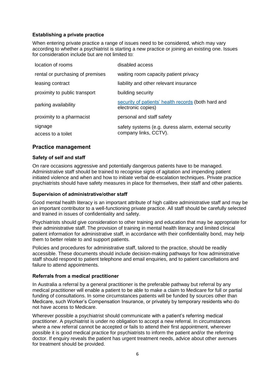#### <span id="page-5-0"></span>**Establishing a private practice**

When entering private practice a range of issues need to be considered, which may vary according to whether a psychiatrist is starting a new practice or joining an existing one. Issues for consideration include but are not limited to:

| location of rooms                | disabled access                                                               |
|----------------------------------|-------------------------------------------------------------------------------|
| rental or purchasing of premises | waiting room capacity patient privacy                                         |
| leasing contract                 | liability and other relevant insurance                                        |
| proximity to public transport    | building security                                                             |
| parking availability             | security of patients' health records (both hard and<br>electronic copies)     |
| proximity to a pharmacist        | personal and staff safety                                                     |
| signage<br>access to a toilet    | safety systems (e.g. duress alarm, external security<br>company links, CCTV). |

# <span id="page-5-1"></span>**Practice management**

#### <span id="page-5-2"></span>**Safety of self and staff**

On rare occasions aggressive and potentially dangerous patients have to be managed. Administrative staff should be trained to recognise signs of agitation and impending patient initiated violence and when and how to initiate verbal de-escalation techniques. Private practice psychiatrists should have safety measures in place for themselves, their staff and other patients.

#### <span id="page-5-3"></span>**Supervision of administrative/other staff**

Good mental health literacy is an important attribute of high calibre administrative staff and may be an important contributor to a well-functioning private practice. All staff should be carefully selected and trained in issues of confidentiality and safety.

Psychiatrists should give consideration to other training and education that may be appropriate for their administrative staff. The provision of training in mental health literacy and limited clinical patient information for administrative staff, in accordance with their confidentiality bond, may help them to better relate to and support patients.

Policies and procedures for administrative staff, tailored to the practice, should be readily accessible. These documents should include decision-making pathways for how administrative staff should respond to patient telephone and email enquiries, and to patient cancellations and failure to attend appointments.

#### <span id="page-5-4"></span>**Referrals from a medical practitioner**

In Australia a referral by a general practitioner is the preferable pathway but referral by any medical practitioner will enable a patient to be able to make a [claim to Medicare](https://www.humanservices.gov.au/health-professionals/subjects/referrals-under-medicare) for full or partial funding of consultations. In some circumstances patients will be funded by sources other than Medicare, such Worker's Compensation Insurance, or privately by temporary residents who do not have access to Medicare.

Wherever possible a psychiatrist should communicate with a patient's referring medical practitioner. A psychiatrist is under no obligation to accept a new referral. In circumstances where a new referral cannot be accepted or fails to attend their first appointment, wherever possible it is good medical practice for psychiatrists to inform the patient and/or the referring doctor. If enquiry reveals the patient has urgent treatment needs, advice about other avenues for treatment should be provided.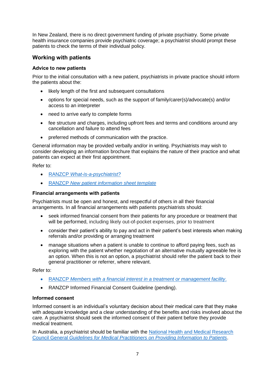In New Zealand, there is no direct government funding of private psychiatry. Some private health insurance companies provide psychiatric coverage; a psychiatrist should prompt these patients to check the terms of their individual policy.

# <span id="page-6-0"></span>**Working with patients**

#### <span id="page-6-1"></span>**Advice to new patients**

Prior to the initial consultation with a new patient, psychiatrists in private practice should inform the patients about the:

- likely length of the first and subsequent consultations
- options for special needs, such as the support of family/carer(s)/advocate(s) and/or access to an interpreter
- need to arrive early to complete forms
- fee structure and charges, including upfront fees and terms and conditions around any cancellation and failure to attend fees
- preferred methods of communication with the practice.

General information may be provided verbally and/or in writing. Psychiatrists may wish to consider developing an information brochure that explains the nature of their practice and what patients can expect at their first appointment.

Refer to:

- RANZCP *[What-is-a-psychiatrist?](https://www.ranzcp.org/Mental-health-advice/What-is-a-psychiatrist.aspx)*
- RANZCP *[New patient information sheet template](https://www.ranzcp.org/publications/Private-practice-resources/Working-with-patients-–-overview.aspx)*

#### <span id="page-6-2"></span>**Financial arrangements with patients**

Psychiatrists must be open and honest, and respectful of others in all their financial arrangements. In all financial arrangements with patients psychiatrists should:

- seek informed financial consent from their patients for any procedure or treatment that will be performed, including likely out-of-pocket expenses, prior to treatment
- consider their patient's ability to pay and act in their patient's best interests when making referrals and/or providing or arranging treatment
- manage situations when a patient is unable to continue to afford paying fees, such as exploring with the patient whether negotiation of an alternative mutually agreeable fee is an option. When this is not an option, a psychiatrist should refer the patient back to their general practitioner or referrer, where relevant.

Refer to:

- RANZCP *[Members with a financial interest in a treatment or management facility](https://www.ranzcp.org/Files/Resources/College_Statements/Ethical_Guidelines/EG-2-Guidelines-for-members-having-a-financial-int.aspx)*.
- RANZCP Informed Financial Consent Guideline (pending).

#### <span id="page-6-3"></span>**Informed consent**

Informed consent is an individual's voluntary decision about their medical care that they make with adequate knowledge and a clear understanding of the benefits and risks involved about the care. A psychiatrist should seek the informed consent of their patient before they provide medical treatment.

In Australia, a psychiatrist should be familiar with the [National Health and Medical Research](https://www.nhmrc.gov.au/guidelines-publications/e57)  Council General *[Guidelines for Medical Practitioners on Providing Information to Patients](https://www.nhmrc.gov.au/guidelines-publications/e57)*.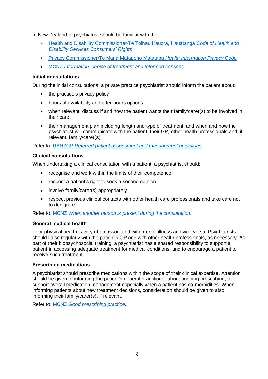In New Zealand, a psychiatrist should be familiar with the:

- [Health and Disability Commissioner](http://www.hdc.org.nz/the-act--code/the-code-of-rights)*/*Te Toihau Hauora, Hauātanga *Code of Health and [Disability Services Consumers' Rights](http://www.hdc.org.nz/the-act--code/the-code-of-rights)*
- [Privacy Commissioner/Te Mana Matapono Matatapu](https://www.privacy.org.nz/the-privacy-act-and-codes/codes-of-practice/health-information-privacy-code/) *Health Information Privacy Code*
- MCNZ *[Information, choice of treatment and informed consent](https://www.mcnz.org.nz/support-for-doctors/resources/)*.

#### <span id="page-7-0"></span>**Initial consultations**

During the initial consultations, a private practice psychiatrist should inform the patient about:

- the practice's privacy policy
- hours of availability and after-hours options
- when relevant, discuss if and how the patient wants their family/carer(s) to be involved in their care.
- their management plan including length and type of treatment, and when and how the psychiatrist will communicate with the patient, their GP, other health professionals and, if relevant, family/carer(s).

Refer to: RANZCP *[Referred patient assessment and management guidelines.](https://www.ranzcp.org/Files/Resources/College_Statements/Practice_Guidelines/referred_patient_assessment_and_management_guideli.aspx)*

#### <span id="page-7-1"></span>**Clinical consultations**

When undertaking a clinical consultation with a patient, a psychiatrist should:

- recognise and work within the limits of their competence
- respect a patient's right to seek a second opinion
- involve family/carer(s) appropriately
- respect previous clinical contacts with other health care professionals and take care not to denigrate.

Refer to: MCNZ *[When another person is present during the consultation](https://www.mcnz.org.nz/assets/News-and-Publications/Statements/When-another-person-is-present-during-a-consultation.pdf)*.

#### <span id="page-7-2"></span>**General medical health**

Poor physical health is very often associated with mental illness and vice-versa. Psychiatrists should liaise regularly with the patient's GP and with other health professionals, as necessary. As part of their biopsychosocial training, a psychiatrist has a shared responsibility to support a patient in accessing adequate treatment for medical conditions, and to encourage a patient to receive such treatment.

#### <span id="page-7-3"></span>**Prescribing medications**

A psychiatrist should prescribe medications within the scope of their clinical expertise. Attention should be given to informing the patient's general practitioner about ongoing prescribing, to support overall medication management especially when a patient has co-morbidities. When informing patients about new treatment decisions, consideration should be given to also informing their family/carer(s), if relevant.

Refer to: MCNZ *[Good prescribing practice.](https://www.mcnz.org.nz/assets/News-and-Publications/Statements/Good-prescribing-practice.pdf)*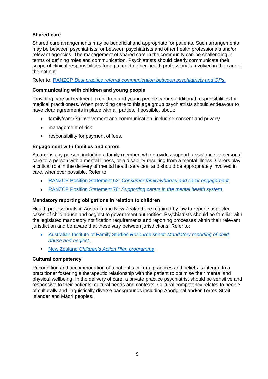#### <span id="page-8-0"></span>**Shared care**

Shared care arrangements may be beneficial and appropriate for patients. Such arrangements may be between psychiatrists, or between psychiatrists and other health professionals and/or relevant agencies. The management of shared care in the community can be challenging in terms of defining roles and communication. Psychiatrists should clearly communicate their scope of clinical responsibilities for a patient to other health professionals involved in the care of the patient.

Refer to: RANZCP *[Best practice referral communication between psychiatrists and GPs](https://www.ranzcp.org/Files/Resources/College_Statements/Practice_Guidelines/PS-Best-Practice-Referral-Communication-between-ps.aspx)*.

#### <span id="page-8-1"></span>**Communicating with children and young people**

Providing care or treatment to children and young people carries additional responsibilities for medical practitioners. When providing care to this age group psychiatrists should endeavour to have clear agreements in place with all parties, if possible, about:

- family/carer(s) involvement and communication, including consent and privacy
- management of risk
- responsibility for payment of fees.

#### <span id="page-8-2"></span>**Engagement with families and carers**

A carer is any person, including a family member, who provides support, assistance or personal care to a person with a mental illness, or a disability resulting from a mental illness. Carers play a critical role in the delivery of mental health services, and should be appropriately involved in care, whenever possible. Refer to:

- RANZCP Position Statement 62: *[Consumer family/whānau and carer engagement](https://www.ranzcp.org/Publications/Guidelines-and-resources-for-practice.aspx)*
- RANZCP Position Statement 76: *[Supporting carers in the mental health system](https://www.ranzcp.org/Files/Resources/76-Support-for-carers-in-the-mental-health-sys.aspx)*.

#### <span id="page-8-3"></span>**Mandatory reporting obligations in relation to children**

Health professionals in Australia and New Zealand are required by law to report suspected cases of child abuse and neglect to government authorities. Psychiatrists should be familiar with the legislated mandatory notification requirements and reporting processes within their relevant jurisdiction and be aware that these vary between jurisdictions. Refer to:

- Australian Institute of Family Studies *[Resource sheet: Mandatory reporting of child](https://aifs.gov.au/cfca/publications/mandatory-reporting-child-abuse-and-neglect)  [abuse and neglect.](https://aifs.gov.au/cfca/publications/mandatory-reporting-child-abuse-and-neglect)*
- <span id="page-8-4"></span>New Zealand *[Children's Action Plan programme](https://www.health.govt.nz/our-work/life-stages/child-health/childrens-action-plan-programme)*

#### **Cultural competency**

Recognition and accommodation of a patient's cultural practices and beliefs is integral to a practitioner fostering a therapeutic relationship with the patient to optimise their mental and physical wellbeing. In the delivery of care, a private practice psychiatrist should be sensitive and responsive to their patients' cultural needs and contexts. Cultural competency relates to people of culturally and linguistically diverse backgrounds including Aboriginal and/or Torres Strait Islander and Māori peoples.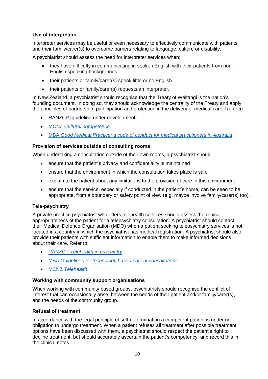#### <span id="page-9-0"></span>**Use of interpreters**

Interpreter services may be useful or even necessary to effectively communicate with patients and their family/carer(s) to overcome barriers relating to language, culture or disability.

A psychiatrist should assess the need for interpreter services when:

- they have difficulty in communicating in spoken English with their patients from non-English speaking backgrounds
- their patients or family/carer(s) speak little or no English
- their patients or family/carer(s) requests an interpreter.

In New Zealand, a psychiatrist should recognise that the Treaty of Waitangi is the nation's founding document. In doing so, they should acknowledge the centrality of the Treaty and apply the principles of partnership, participation and protection in the delivery of medical care. Refer to:

- RANZCP [guideline under development]
- MCNZ C*[ultural competence](https://www.mcnz.org.nz/support-for-doctors/resources/)*
- MBA *Good Medical Practice: [a code of conduct for medical practitioners in Australia](http://www.medicalboard.gov.au/Codes-Guidelines-Policies.aspx)*.

#### <span id="page-9-1"></span>**Provision of services outside of consulting rooms**

When undertaking a consultation outside of their own rooms, a psychiatrist should:

- ensure that the patient's privacy and confidentiality is maintained
- ensure that the environment in which the consultation takes place is safe
- explain to the patient about any limitations to the provision of care in this environment
- ensure that the service, especially if conducted in the patient's home, can be seen to be appropriate, from a boundary or safety point of view (e.g. maybe involve family/carer(s) too).

#### <span id="page-9-2"></span>**Tele-psychiatry**

A private practice psychiatrist who offers telehealth services should assess the clinical appropriateness of the patient for a telepsychiatry consultation. A psychiatrist should contact their Medical Defence Organisation (MDO) when a patient seeking telepsychiatry services is not located in a country in which the psychiatrist has medical registration. A psychiatrist should also provide their patients with sufficient information to enable them to make informed decisions about their care. Refer to:

- RANZCP *[Telehealth in psychiatry](https://www.ranzcp.org/Publications/Telehealth-in-psychiatry.aspx)*
- MBA *[Guidelines for technology based patient consultations](http://www.medicalboard.gov.au/Codes-Guidelines-Policies.aspx)*
- MCNZ *[Telehealth](https://www.mcnz.org.nz/assets/News-and-Publications/Statement-on-telehealthv3.pdf)*.

#### <span id="page-9-3"></span>**Working with community support organisations**

When working with community based groups, psychiatrists should recognise the conflict of interest that can occasionally arise, between the needs of their patient and/or family/carer(s), and the needs of the community group.

#### <span id="page-9-4"></span>**Refusal of treatment**

In accordance with the legal principle of self-determination a competent patient is under no obligation to undergo treatment. When a patient refuses all treatment after possible treatment options have been discussed with them, a psychiatrist should respect the patient's right to decline treatment, but should accurately ascertain the patient's competency, and record this in the clinical notes.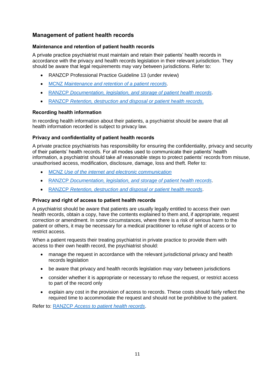# <span id="page-10-0"></span>**Management of patient health records**

#### <span id="page-10-1"></span>**Maintenance and retention of patient health records**

A private practice psychiatrist must maintain and retain their patients' health records in accordance with the privacy and health records legislation in their relevant jurisdiction. They should be aware that legal requirements may vary between jurisdictions. Refer to:

- RANZCP Professional Practice Guideline 13 (under review)
- MCNZ *[Maintenance and retention of a patient records.](https://www.mcnz.org.nz/assets/News-and-Publications/Statements/Maintenance-and-retention-of-records.pdf)*
- RANZCP *[Documentation, legislation, and storage of patient health records](https://www.ranzcp.org/publications/Private-practice-resources/Documentation,-legislation-and-storage-of-patient.aspx)*.
- RANZCP *[Retention, destruction and disposal or patient health records](https://www.ranzcp.org/publications/Private-practice-resources/Retention,-destruction-and-disposal-of-patient-hea.aspx)*.

#### <span id="page-10-2"></span>**Recording health information**

In recording health information about their patients, a psychiatrist should be aware that all health information recorded is subject to privacy law.

#### <span id="page-10-3"></span>**Privacy and confidentiality of patient health records**

A private practice psychiatrists has responsibility for ensuring the confidentiality, privacy and security of their patients' health records. For all modes used to communicate their patients' health information, a psychiatrist should take *all* reasonable steps to protect patients' records from misuse, unauthorised access, modification, disclosure, damage, loss and theft. Refer to:

- MCNZ *[Use of the internet and electronic communication](https://www.mcnz.org.nz/support-for-doctors/resources/)*
- RANZCP *[Documentation, legislation, and storage of patient health records](https://www.ranzcp.org/publications/Private-practice-resources/Documentation,-legislation-and-storage-of-patient.aspx)*.
- RANZCP *[Retention, destruction and disposal or patient health records](https://www.ranzcp.org/publications/Private-practice-resources/Retention,-destruction-and-disposal-of-patient-hea.aspx)*.

#### <span id="page-10-4"></span>**Privacy and right of access to patient health records**

A psychiatrist should be aware that patients are usually legally entitled to access their own health records, obtain a copy, have the contents explained to them and, if appropriate, request correction or amendment. In some circumstances, where there is a risk of serious harm to the patient or others, it may be necessary for a medical practitioner to refuse right of access or to restrict access.

When a patient requests their treating psychiatrist in private practice to provide them with access to their own health record, the psychiatrist should:

- manage the request in accordance with the relevant jurisdictional privacy and health records legislation
- be aware that privacy and health records legislation may vary between jurisdictions
- consider whether it is appropriate or necessary to refuse the request, or restrict access to part of the record only
- explain any cost in the provision of access to records. These costs should fairly reflect the required time to accommodate the request and should not be prohibitive to the patient.

Refer to: RANZCP *[Access to patient health records](https://www.ranzcp.org/publications/Private-practice-resources/Access-to-patient-health-records.aspx)*.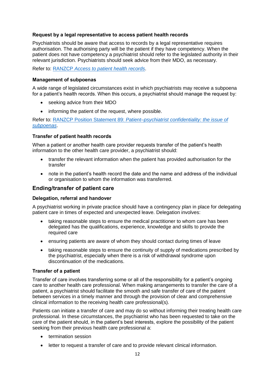#### <span id="page-11-0"></span>**Request by a legal representative to access patient health records**

Psychiatrists should be aware that access to records by a legal representative requires authorisation. The authorising party will be the patient if they have competency. When the patient does not have competency a psychiatrist should refer to the legislated authority in their relevant jurisdiction. Psychiatrists should seek advice from their MDO, as necessary.

Refer to: RANZCP *[Access to patient health records](https://www.ranzcp.org/publications/Private-practice-resources/Access-to-patient-health-records.aspx)*.

#### <span id="page-11-1"></span>**Management of subpoenas**

A wide range of legislated circumstances exist in which psychiatrists may receive a subpoena for a patient's health records. When this occurs, a psychiatrist should manage the request by:

- seeking advice from their MDO
- informing the patient of the request, where possible.

Refer to: RANZCP Position Statement 89: *[Patient–psychiatrist confidentiality: the issue of](https://www.ranzcp.org/Files/Resources/College_Statements/Position_Statements/PS89-Access-to-clinical-records-without-patient-co.aspx)  [subpoenas](https://www.ranzcp.org/Files/Resources/College_Statements/Position_Statements/PS89-Access-to-clinical-records-without-patient-co.aspx)*.

#### <span id="page-11-2"></span>**Transfer of patient health records**

When a patient or another health care provider requests transfer of the patient's health information to the other health care provider, a psychiatrist should:

- transfer the relevant information when the patient has provided authorisation for the transfer
- note in the patient's health record the date and the name and address of the individual or organisation to whom the information was transferred.

#### <span id="page-11-3"></span>**Ending/transfer of patient care**

#### <span id="page-11-4"></span>**Delegation, referral and handover**

A psychiatrist working in private practice should have a contingency plan in place for delegating patient care in times of expected and unexpected leave. Delegation involves:

- taking reasonable steps to ensure the medical practitioner to whom care has been delegated has the qualifications, experience, knowledge and skills to provide the required care
- ensuring patients are aware of whom they should contact during times of leave
- taking reasonable steps to ensure the continuity of supply of medications prescribed by the psychiatrist, especially when there is a risk of withdrawal syndrome upon discontinuation of the medications.

#### <span id="page-11-5"></span>**Transfer of a patient**

Transfer of care involves transferring some or all of the responsibility for a patient's ongoing care to another health care professional. When making arrangements to transfer the care of a patient, a psychiatrist should facilitate the smooth and safe transfer of care of the patient between services in a timely manner and through the provision of clear and comprehensive clinical information to the receiving health care professional(s).

Patients can initiate a transfer of care and may do so without informing their treating health care professional. In these circumstances, the psychiatrist who has been requested to take on the care of the patient should, in the patient's best interests, explore the possibility of the patient seeking from their previous health care professional a:

- termination session
- letter to request a transfer of care and to provide relevant clinical information.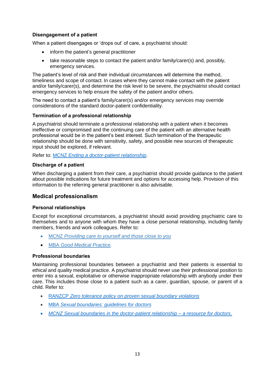#### <span id="page-12-0"></span>**Disengagement of a patient**

When a patient disengages or 'drops out' of care, a psychiatrist should:

- inform the patient's general practitioner
- take reasonable steps to contact the patient and/or family/carer(s) and, possibly, emergency services.

The patient's level of risk and their individual circumstances will determine the method, timeliness and scope of contact. In cases where they cannot make contact with the patient and/or family/carer(s), and determine the risk level to be severe, the psychiatrist should contact emergency services to help ensure the safety of the patient and/or others.

The need to contact a patient's family/carer(s) and/or emergency services may override considerations of the standard doctor-patient confidentiality.

#### <span id="page-12-1"></span>**Termination of a professional relationship**

A psychiatrist should terminate a professional relationship with a patient when it becomes ineffective or compromised and the continuing care of the patient with an alternative health professional would be in the patient's best interest. Such termination of the therapeutic relationship should be done with sensitivity, safety, and possible new sources of therapeutic input should be explored, if relevant.

Refer to: MCNZ *[Ending a doctor-patient relationship](https://www.mcnz.org.nz/assets/News-and-Publications/Statements/Ending-a-doctor-patient-relationship.pdf)*.

#### <span id="page-12-2"></span>**Discharge of a patient**

When discharging a patient from their care, a psychiatrist should provide guidance to the patient about possible indications for future treatment and options for accessing help. Provision of this information to the referring general practitioner is also advisable.

#### <span id="page-12-3"></span>**Medical professionalism**

#### <span id="page-12-4"></span>**Personal relationships**

Except for exceptional circumstances, a psychiatrist should avoid providing psychiatric care to themselves and to anyone with whom they have a close personal relationship, including family members, friends and work colleagues. Refer to:

- MCNZ *[Providing care to yourself and those close to you](https://www.mcnz.org.nz/assets/News-and-Publications/Statements/Statement-on-providing-care-to-yourself-and-those-close-to-you.pdf)*
- MBA *[Good Medical Practice](http://www.medicalboard.gov.au/Codes-Guidelines-Policies.aspx)*.

#### <span id="page-12-5"></span>**Professional boundaries**

Maintaining professional boundaries between a psychiatrist and their patients is essential to ethical and quality medical practice. A psychiatrist should never use their professional position to enter into a sexual, exploitative or otherwise inappropriate relationship with anybody under their care. This includes those close to a patient such as a carer, guardian, spouse, or parent of a child. Refer to:

- RANZCP *[Zero tolerance policy on proven sexual boundary violations](https://www.ranzcp.org/Files/Resources/College_Statements/Ethical_Guidelines/EG-12-Zero-tolerance-policy-on-proven-sexual-bound.aspx)*
- MBA *[Sexual boundaries: guidelines for doctors](http://www.medicalboard.gov.au/Codes-Guidelines-Policies.aspx)*
- *[MCNZ Sexual boundaries in the doctor-patient relationship –](https://www.mcnz.org.nz/assets/News-and-Publications/Statements/Importance-of-boundaries.pdf) a resource for doctors.*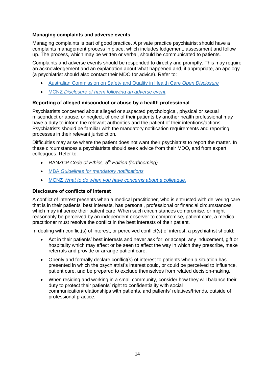#### <span id="page-13-0"></span>**Managing complaints and adverse events**

Managing complaints is part of good practice. A private practice psychiatrist should have a complaints management process in place, which includes lodgement, assessment and follow up. The process, which may be written or verbal, should be communicated to patients.

Complaints and adverse events should be responded to directly and promptly. This may require an acknowledgement and an explanation about what happened and, if appropriate, an apology (a psychiatrist should also contact their MDO for advice). Refer to:

- [Australian Commission on Safety and Quality in Health Care](http://www.safetyandquality.gov.au/our-work/open-disclosure/) *Open Disclosure*
- MCNZ *[Disclosure of harm following an adverse event.](https://www.mcnz.org.nz/assets/News-and-Publications/Statements/Disclosure-of-harm.pdf)*

#### <span id="page-13-1"></span>**Reporting of alleged misconduct or abuse by a health professional**

Psychiatrists concerned about alleged or suspected psychological, physical or sexual misconduct or abuse, or neglect, of one of their patients by another health professional may have a duty to inform the relevant authorities and the patient of their intentions/actions. Psychiatrists should be familiar with the mandatory notification requirements and reporting processes in their relevant jurisdiction.

Difficulties may arise where the patient does not want their psychiatrist to report the matter. In these circumstances a psychiatrists should seek advice from their MDO, and from expert colleagues. Refer to:

- RANZCP *Code of Ethics, 5th Edition (forthcoming)*
- MBA *[Guidelines for mandatory notifications](http://www.medicalboard.gov.au/Codes-Guidelines-Policies.aspx)*
- MCNZ *[What to do when you have concerns about a colleague.](https://www.mcnz.org.nz/assets/News-and-Publications/Statements/Concerns-about-a-colleague.pdf)*

#### <span id="page-13-2"></span>**Disclosure of conflicts of interest**

A conflict of interest presents when a medical practitioner, who is entrusted with delivering care that is in their patients' best interests, has personal, professional or financial circumstances, which may influence their patient care. When such circumstances compromise, or might reasonably be perceived by an independent observer to compromise, patient care, a medical practitioner must resolve the conflict in the best interests of their patient.

In dealing with conflict(s) of interest, or perceived conflict(s) of interest, a psychiatrist should:

- Act in their patients' best interests and never ask for, or accept, any inducement, gift or hospitality which may affect or be seen to affect the way in which they prescribe, make referrals and provide or arrange patient care.
- Openly and formally declare conflict(s) of interest to patients when a situation has presented in which the psychiatrist's interest could, or could be perceived to influence, patient care, and be prepared to exclude themselves from related decision-making.
- When residing and working in a small community, consider how they will balance their duty to protect their patients' right to confidentiality with social communication/relationships with patients, and patients' relatives/friends, outside of professional practice.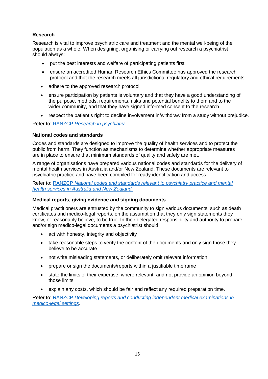# <span id="page-14-0"></span>**Research**

Research is vital to improve psychiatric care and treatment and the mental well-being of the population as a whole. When designing, organising or carrying out research a psychiatrist should always:

- put the best interests and welfare of participating patients first
- ensure an accredited Human Research Ethics Committee has approved the research protocol and that the research meets all jurisdictional regulatory and ethical requirements
- adhere to the approved research protocol
- ensure participation by patients is voluntary and that they have a good understanding of the purpose, methods, requirements, risks and potential benefits to them and to the wider community, and that they have signed informed consent to the research
- respect the patient's right to decline involvement in/withdraw from a study without prejudice.

Refer to: RANZCP *[Research in psychiatry](https://www.ranzcp.org/Publications/Research-in-psychiatry.aspx)*.

#### <span id="page-14-1"></span>**National codes and standards**

Codes and standards are designed to improve the quality of health services and to protect the public from harm. They function as mechanisms to determine whether appropriate measures are in place to ensure that minimum standards of quality and safety are met.

A range of organisations have prepared various national codes and standards for the delivery of mental health services in Australia and/or New Zealand. These documents are relevant to psychiatric practice and have been compiled for ready identification and access.

Refer to: RANZCP *[National codes and standards relevant to psychiatry practice and mental](https://www.ranzcp.org/Files/Resources/College_Statements/Practice_Guidelines/PPG-14-National-Codes-and-Standards.aspx)  [health services in Australia and New Zealand.](https://www.ranzcp.org/Files/Resources/College_Statements/Practice_Guidelines/PPG-14-National-Codes-and-Standards.aspx)*

#### <span id="page-14-2"></span>**Medical reports, giving evidence and signing documents**

Medical practitioners are entrusted by the community to sign various documents, such as death certificates and medico-legal reports, on the assumption that they only sign statements they know, or reasonably believe, to be true. In their delegated responsibility and authority to prepare and/or sign medico-legal documents a psychiatrist should:

- act with honesty, integrity and objectivity
- take reasonable steps to verify the content of the documents and only sign those they believe to be accurate
- not write misleading statements, or deliberately omit relevant information
- prepare or sign the documents/reports within a justifiable timeframe
- state the limits of their expertise, where relevant, and not provide an opinion beyond those limits
- explain any costs, which should be fair and reflect any required preparation time.

Refer to: RANZCP *[Developing reports and conducting independent medical examinations in](https://www.ranzcp.org/Files/Resources/College_Statements/Practice_Guidelines/PPG-11-FFP-Developing-reports-and-conducting-indep.aspx)  [medico-legal settings](https://www.ranzcp.org/Files/Resources/College_Statements/Practice_Guidelines/PPG-11-FFP-Developing-reports-and-conducting-indep.aspx)*.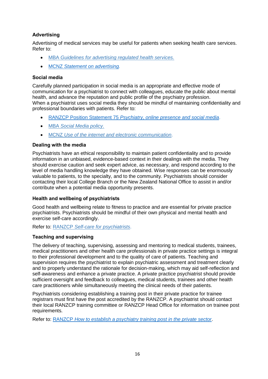# <span id="page-15-0"></span>**Advertising**

Advertising of medical services may be useful for patients when seeking health care services. Refer to:

- MBA *[Guidelines for advertising regulated health services.](http://www.medicalboard.gov.au/Codes-Guidelines-Policies/Guidelines-for-advertising-regulated-health-services.aspx)*
- MCNZ *[Statement on advertising.](https://www.mcnz.org.nz/assets/News-and-Publications/Statements/Statement-on-advertising.pdf)*

#### <span id="page-15-1"></span>**Social media**

Carefully planned participation in social media is an appropriate and effective mode of communication for a psychiatrist to connect with colleagues, educate the public about mental health, and advance the reputation and public profile of the psychiatry profession. When a psychiatrist uses social media they should be mindful of maintaining confidentiality and professional boundaries with patients. Refer to:

- RANZCP Position Statement 75 *[Psychiatry, online presence and social media](https://www.ranzcp.org/Files/Resources/College_Statements/Position_Statements/75-Psychiatry,-online-presence-and-social-media-GC.aspx)*.
- MBA *[Social Media policy.](http://www.medicalboard.gov.au/Codes-Guidelines-Policies/Social-media-policy.aspx)*
- MCNZ *[Use of the internet and electronic communication](https://www.mcnz.org.nz/assets/News-and-Publications/Statement-on-use-of-the-internet-and-electronic-communication-v2.pdf)*.

#### <span id="page-15-2"></span>**Dealing with the media**

Psychiatrists have an ethical responsibility to maintain patient confidentiality and to provide information in an unbiased, evidence-based context in their dealings with the media. They should exercise caution and seek expert advice, as necessary, and respond according to the level of media handling knowledge they have obtained. Wise responses can be enormously valuable to patients, to the specialty, and to the community. Psychiatrists should consider contacting their local College Branch or the New Zealand National Office to assist in and/or contribute when a potential media opportunity presents.

#### <span id="page-15-3"></span>**Health and wellbeing of psychiatrists**

Good health and wellbeing relate to fitness to practice and are essential for private practice psychiatrists. Psychiatrists should be mindful of their own physical and mental health and exercise self-care accordingly.

Refer to: RANZCP *[Self-care for psychiatrists](https://www.ranzcp.org/Publications/Support-for-psychiatrists/Self-care-for-psychiatrists.aspx)*.

#### <span id="page-15-4"></span>**Teaching and supervising**

The delivery of teaching, supervising, assessing and mentoring to medical students, trainees, medical practitioners and other health care professionals in private practice settings is integral to their professional development and to the quality of care of patients. Teaching and supervision requires the psychiatrist to explain psychiatric assessment and treatment clearly and to properly understand the rationale for decision-making, which may aid self-reflection and self-awareness and enhance a private practice. A private practice psychiatrist should provide sufficient oversight and feedback to colleagues, medical students, trainees and other health care practitioners while simultaneously meeting the clinical needs of their patients.

Psychiatrists considering establishing a training post in their private practice for trainee registrars must first have the post accredited by the RANZCP. A psychiatrist should contact their local RANZCP training committee or RANZCP Head Office for information on trainee post requirements.

Refer to: RANZCP *[How to establish a psychiatry training post in the private sector](https://www.ranzcp.org/Publications/For-health-services/Establishing-a-training-post.aspx)*.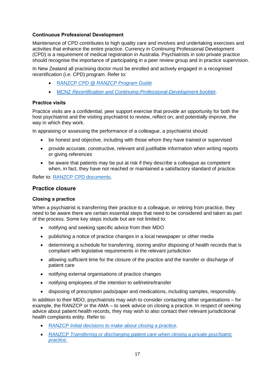#### <span id="page-16-0"></span>**Continuous Professional Development**

Maintenance of CPD contributes to high quality care and involves and undertaking exercises and activities that enhance the entire practice. Currency in Continuing Professional Development (CPD) is a requirement of medical registration in Australia. Psychiatrists in solo private practice should recognise the importance of participating in a peer review group and in practice supervision.

In New Zealand all practising doctor must be enrolled and actively engaged in a recognised recertification (i.e. CPD) program. Refer to:

- RANZCP *[CPD @ RANZCP Program Guide](https://www.ranzcp.org/Files/Fellowship/CPD/RANZCP-CPD-Program-Guide-v9.aspx)*
- MCNZ *[Recertification and Continuing-Professional-Development bookle](https://www.mcnz.org.nz/maintain-registration/recertification-and-professional-development/)*t.

#### <span id="page-16-1"></span>**Practice visits**

Practice visits are a confidential, peer support exercise that provide an opportunity for both the host psychiatrist and the visiting psychiatrist to review, reflect on, and potentially improve, the way in which they work.

In appraising or assessing the performance of a colleague, a psychiatrist should:

- be honest and objective, including with those whom they have trained or supervised
- provide accurate, constructive, relevant and justifiable information when writing reports or giving references
- be aware that patients may be put at risk if they describe a colleague as competent when, in fact, they have not reached or maintained a satisfactory standard of practice.

Refer to: [RANZCP CPD documents.](https://www.ranzcp.org/Membership/CPD-program/CPD-documents.aspx)

# <span id="page-16-2"></span>**Practice closure**

#### <span id="page-16-3"></span>**Closing a practice**

When a psychiatrist is transferring their practice to a colleague, or retiring from practice, they need to be aware there are certain essential steps that need to be considered and taken as part of the process. Some key steps include but are not limited to:

- notifying and seeking specific advice from their MDO
- publishing a notice of practice changes in a local newspaper or other media
- determining a schedule for transferring, storing and/or disposing of health records that is compliant with legislative requirements in the relevant jurisdiction
- allowing sufficient time for the closure of the practice and the transfer or discharge of patient care
- notifying external organisations of practice changes
- notifying employees of the intention to sell/retire/transfer
- disposing of prescription pads/paper and medications, including samples, responsibly.

In addition to their MDO, psychiatrists may wish to consider contacting other organisations – for example, the RANZCP or the AMA – to seek advice on closing a practice. In respect of seeking advice about patient health records, they may wish to also contact their relevant jurisdictional health complaints entity. Refer to:

- RANZCP *[Initial decisions to make about closing a practice.](https://www.ranzcp.org/publications/Private-practice-resources/Initial-decisions-to-consider-when-closing-a-pract.aspx)*
- RANZCP *[Transferring or discharging patient care when closing a private psychiatric](https://www.ranzcp.org/publications/Private-practice-resources/Transferring-or-discharging-patient-care-when-clos.aspx)  [practice.](https://www.ranzcp.org/publications/Private-practice-resources/Transferring-or-discharging-patient-care-when-clos.aspx)*